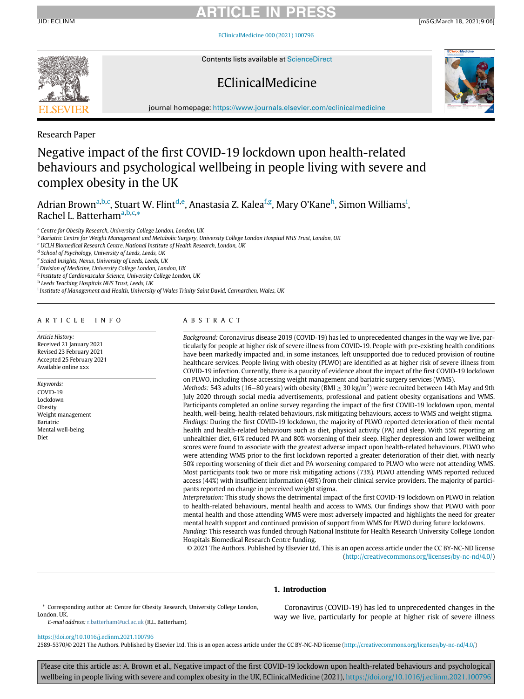JID: ECLINM [m5G;March 18, 2021;9:06]

[EClinicalMedicine 000 \(2021\) 100796](https://doi.org/10.1016/j.eclinm.2021.100796)



Contents lists available at [ScienceDirect](http://www.ScienceDirect.com)

## EClinicalMedicine



journal homepage: [https://www.journals.elsevier.com/eclinicalmedicine](http://https://www.journals.elsevier.com/eclinicalmedicine)

Research Paper

# Negative impact of the first COVID-19 lockdown upon health-related behaviours and psychological wellbeing in people living with severe and complex obesity in the UK

Adri[a](#page-0-0)n Brown<sup>a[,b](#page-0-1)[,c](#page-0-2)</sup>, Stuart W. Flint<sup>[d](#page-0-3)[,e](#page-0-4)</sup>, Anastasia Z. Kalea<sup>[f,](#page-0-5)[g](#page-0-6)</sup>, Mary O'Kane<sup>[h](#page-0-7)</sup>, S[i](#page-0-8)mon Williams<sup>i</sup>, R[a](#page-0-0)chel L. Batterham<sup>a[,b,](#page-0-1)[c,](#page-0-2)</sup>[\\*](#page-0-9)

<span id="page-0-0"></span><sup>a</sup> Centre for Obesity Research, University College London, London, UK

<span id="page-0-1"></span>**b Bariatric Centre for Weight Management and Metabolic Surgery, University College London Hospital NHS Trust, London, UK** 

<span id="page-0-2"></span><sup>c</sup> UCLH Biomedical Research Centre, National Institute of Health Research, London, UK

<span id="page-0-3"></span><sup>d</sup> School of Psychology, University of Leeds, Leeds, UK

<span id="page-0-5"></span><span id="page-0-4"></span><sup>e</sup> Scaled Insights, Nexus, University of Leeds, Leeds, UK

<sup>f</sup> Division of Medicine, University College London, London, UK

<span id="page-0-6"></span><sup>g</sup> Institute of Cardiovascular Science, University College London, UK

<span id="page-0-7"></span>h Leeds Teaching Hospitals NHS Trust, Leeds, UK

<span id="page-0-8"></span><sup>i</sup> Institute of Management and Health, University of Wales Trinity Saint David, Carmarthen, Wales, UK

### ARTICLE INFO

Article History: Received 21 January 2021 Revised 23 February 2021 Accepted 25 February 2021 Available online xxx

Keywords: COVID-19 Lockdown Obesity Weight management Bariatric Mental well-being Diet

### ABSTRACT

Background: Coronavirus disease 2019 (COVID-19) has led to unprecedented changes in the way we live, particularly for people at higher risk of severe illness from COVID-19. People with pre-existing health conditions have been markedly impacted and, in some instances, left unsupported due to reduced provision of routine healthcare services. People living with obesity (PLWO) are identified as at higher risk of severe illness from COVID-19 infection. Currently, there is a paucity of evidence about the impact of the first COVID-19 lockdown on PLWO, including those accessing weight management and bariatric surgery services (WMS).

Methods: 543 adults (16–80 years) with obesity (BMI  $\geq$  30 kg/m<sup>2</sup>) were recruited between 14th May and 9th July 2020 through social media advertisements, professional and patient obesity organisations and WMS. Participants completed an online survey regarding the impact of the first COVID-19 lockdown upon, mental health, well-being, health-related behaviours, risk mitigating behaviours, access to WMS and weight stigma. Findings: During the first COVID-19 lockdown, the majority of PLWO reported deterioration of their mental health and health-related behaviours such as diet, physical activity (PA) and sleep. With 55% reporting an unhealthier diet, 61% reduced PA and 80% worsening of their sleep. Higher depression and lower wellbeing scores were found to associate with the greatest adverse impact upon health-related behaviours. PLWO who were attending WMS prior to the first lockdown reported a greater deterioration of their diet, with nearly 50% reporting worsening of their diet and PA worsening compared to PLWO who were not attending WMS. Most participants took two or more risk mitigating actions (73%). PLWO attending WMS reported reduced access (44%) with insufficient information (49%) from their clinical service providers. The majority of participants reported no change in perceived weight stigma.

Interpretation: This study shows the detrimental impact of the first COVID-19 lockdown on PLWO in relation to health-related behaviours, mental health and access to WMS. Our findings show that PLWO with poor mental health and those attending WMS were most adversely impacted and highlights the need for greater mental health support and continued provision of support from WMS for PLWO during future lockdowns. Funding: This research was funded through National Institute for Health Research University College London Hospitals Biomedical Research Centre funding.

© 2021 The Authors. Published by Elsevier Ltd. This is an open access article under the CC BY-NC-ND license ([http://creativecommons.org/licenses/by-nc-nd/4.0/\)](http://creativecommons.org/licenses/by-nc-nd/4.0/)

### 1. Introduction

E-mail address: [r.batterham@ucl.ac.uk](mailto:r.batterham@ucl.ac.uk) (R.L. Batterham).

Coronavirus (COVID-19) has led to unprecedented changes in the way we live, particularly for people at higher risk of severe illness

### <https://doi.org/10.1016/j.eclinm.2021.100796>

2589-5370/© 2021 The Authors. Published by Elsevier Ltd. This is an open access article under the CC BY-NC-ND license [\(http://creativecommons.org/licenses/by-nc-nd/4.0/](http://creativecommons.org/licenses/by-nc-nd/4.0/))

Please cite this article as: A. Brown et al., Negative impact of the first COVID-19 lockdown upon health-related behaviours and psychological wellbeing in people living with severe and complex obesity in the UK, EClinicalMedicine (2021), <https://doi.org/10.1016/j.eclinm.2021.100796>

<span id="page-0-9"></span><sup>\*</sup> Corresponding author at: Centre for Obesity Research, University College London, London, UK.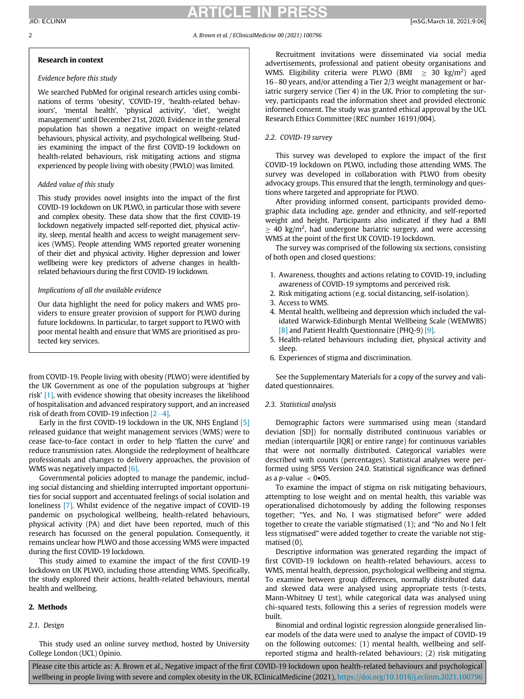### RTICLE IN PR

### 2 A. Brown et al. / EClinicalMedicine 00 (2021) 100796

### Research in context

### Evidence before this study

We searched PubMed for original research articles using combinations of terms 'obesity', 'COVID-19', 'health-related behaviours', 'mental health', 'physical activity', 'diet', 'weight management' until December 21st, 2020. Evidence in the general population has shown a negative impact on weight-related behaviours, physical activity, and psychological wellbeing. Studies examining the impact of the first COVID-19 lockdown on health-related behaviours, risk mitigating actions and stigma experienced by people living with obesity (PWLO) was limited.

### Added value of this study

This study provides novel insights into the impact of the first COVID-19 lockdown on UK PLWO, in particular those with severe and complex obesity. These data show that the first COVID-19 lockdown negatively impacted self-reported diet, physical activity, sleep, mental health and access to weight management services (WMS). People attending WMS reported greater worsening of their diet and physical activity. Higher depression and lower wellbeing were key predictors of adverse changes in healthrelated behaviours during the first COVID-19 lockdown.

### Implications of all the available evidence

Our data highlight the need for policy makers and WMS providers to ensure greater provision of support for PLWO during future lockdowns. In particular, to target support to PLWO with poor mental health and ensure that WMS are prioritised as protected key services.

from COVID-19. People living with obesity (PLWO) were identified by the UK Government as one of the population subgroups at 'higher risk' [\[1\]](#page-6-0), with evidence showing that obesity increases the likelihood of hospitalisation and advanced respiratory support, and an increased risk of death from COVID-19 infection  $[2-4]$  $[2-4]$  $[2-4]$ .

Early in the first COVID-19 lockdown in the UK, NHS England [\[5\]](#page-6-2) released guidance that weight management services (WMS) were to cease face-to-face contact in order to help 'flatten the curve' and reduce transmission rates. Alongside the redeployment of healthcare professionals and changes to delivery approaches, the provision of WMS was negatively impacted [\[6\]](#page-6-3).

Governmental policies adopted to manage the pandemic, including social distancing and shielding interrupted important opportunities for social support and accentuated feelings of social isolation and loneliness [\[7\]](#page-6-4). Whilst evidence of the negative impact of COVID-19 pandemic on psychological wellbeing, health-related behaviours, physical activity (PA) and diet have been reported, much of this research has focussed on the general population. Consequently, it remains unclear how PLWO and those accessing WMS were impacted during the first COVID-19 lockdown.

This study aimed to examine the impact of the first COVID-19 lockdown on UK PLWO, including those attending WMS. Specifically, the study explored their actions, health-related behaviours, mental health and wellbeing.

### 2. Methods

### 2.1. Design

This study used an online survey method, hosted by University College London (UCL) Opinio.

Recruitment invitations were disseminated via social media advertisements, professional and patient obesity organisations and WMS. Eligibility criteria were PLWO (BMI  $\geq 30$  kg/m<sup>2</sup>) aged  $16-80$  years, and/or attending a Tier 2/3 weight management or bariatric surgery service (Tier 4) in the UK. Prior to completing the survey, participants read the information sheet and provided electronic informed consent. The study was granted ethical approval by the UCL Research Ethics Committee (REC number 16191/004).

### 2.2. COVID-19 survey

This survey was developed to explore the impact of the first COVID-19 lockdown on PLWO, including those attending WMS. The survey was developed in collaboration with PLWO from obesity advocacy groups. This ensured that the length, terminology and questions where targeted and appropriate for PLWO.

After providing informed consent, participants provided demographic data including age, gender and ethnicity, and self-reported weight and height. Participants also indicated if they had a BMI  $\geq$  40 kg/m<sup>2</sup>, had undergone bariatric surgery, and were accessing WMS at the point of the first UK COVID-19 lockdown.

The survey was comprised of the following six sections, consisting of both open and closed questions:

- 1. Awareness, thoughts and actions relating to COVID-19, including awareness of COVID-19 symptoms and perceived risk.
- 2. Risk mitigating actions (e.g. social distancing, self-isolation).
- 3. Access to WMS.
- 4. Mental health, wellbeing and depression which included the validated Warwick-Edinburgh Mental Wellbeing Scale (WEMWBS) [\[8\]](#page-6-5) and Patient Health Questionnaire (PHQ-9) [\[9\]](#page-6-6).
- 5. Health-related behaviours including diet, physical activity and sleep.
- 6. Experiences of stigma and discrimination.

See the Supplementary Materials for a copy of the survey and validated questionnaires.

### 2.3. Statistical analysis

Demographic factors were summarised using mean (standard deviation [SD]) for normally distributed continuous variables or median (interquartile [IQR] or entire range) for continuous variables that were not normally distributed. Categorical variables were described with counts (percentages). Statistical analyses were performed using SPSS Version 24.0. Statistical significance was defined as a *p*-value  $\langle$  0.05.

To examine the impact of stigma on risk mitigating behaviours, attempting to lose weight and on mental health, this variable was operationalised dichotomously by adding the following responses together; "Yes, and No, I was stigmatised before" were added together to create the variable stigmatised (1); and "No and No I felt less stigmatised" were added together to create the variable not stigmatised (0).

Descriptive information was generated regarding the impact of first COVID-19 lockdown on health-related behaviours, access to WMS, mental health, depression, psychological wellbeing and stigma. To examine between group differences, normally distributed data and skewed data were analysed using appropriate tests (t-tests, Mann-Whitney U test), while categorical data was analysed using chi-squared tests, following this a series of regression models were built.

Binomial and ordinal logistic regression alongside generalised linear models of the data were used to analyse the impact of COVID-19 on the following outcomes: (1) mental health, wellbeing and selfreported stigma and health-related behaviours; (2) risk mitigating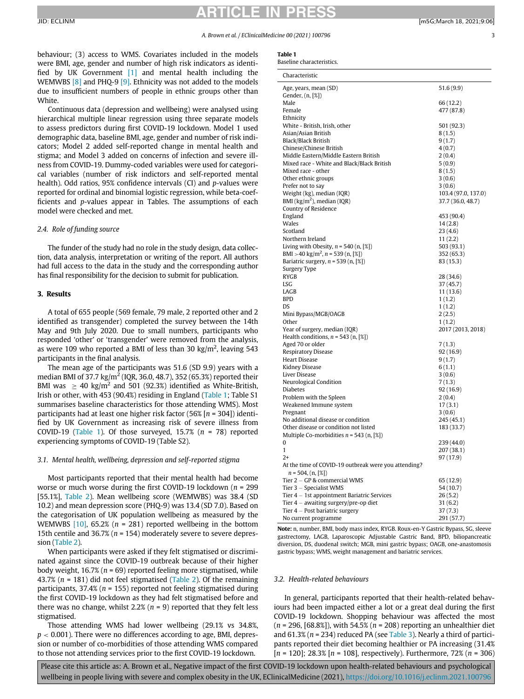#### A. Brown et al. / EClinicalMedicine 00 (2021) 100796 3

<span id="page-2-0"></span>behaviour; (3) access to WMS. Covariates included in the models were BMI, age, gender and number of high risk indicators as identified by UK Government [\[1\]](#page-6-0) and mental health including the WEMWBS [\[8\]](#page-6-5) and PHQ-9 [\[9\]](#page-6-6). Ethnicity was not added to the models due to insufficient numbers of people in ethnic groups other than White.

Continuous data (depression and wellbeing) were analysed using hierarchical multiple linear regression using three separate models to assess predictors during first COVID-19 lockdown. Model 1 used demographic data, baseline BMI, age, gender and number of risk indicators; Model 2 added self-reported change in mental health and stigma; and Model 3 added on concerns of infection and severe illness from COVID-19. Dummy-coded variables were used for categorical variables (number of risk indictors and self-reported mental health). Odd ratios, 95% confidence intervals (CI) and p-values were reported for ordinal and binomial logistic regression, while beta-coefficients and p-values appear in Tables. The assumptions of each model were checked and met.

### 2.4. Role of funding source

The funder of the study had no role in the study design, data collection, data analysis, interpretation or writing of the report. All authors had full access to the data in the study and the corresponding author has final responsibility for the decision to submit for publication.

### 3. Results

A total of 655 people (569 female, 79 male, 2 reported other and 2 identified as transgender) completed the survey between the 14th May and 9th July 2020. Due to small numbers, participants who responded 'other' or 'transgender' were removed from the analysis, as were 109 who reported a BMI of less than 30 kg/m<sup>2</sup>, leaving 543 participants in the final analysis.

The mean age of the participants was 51.6 (SD 9.9) years with a median BMI of 37.7 kg/m<sup>2</sup> (IQR, 36.0, 48.7), 352 (65.3%) reported their BMI was  $\geq 40$  kg/m<sup>2</sup> and 501 (92.3%) identified as White-British, Irish or other, with 453 (90.4%) residing in England [\(Table 1](#page-2-0); Table S1 summarises baseline characteristics for those attending WMS). Most participants had at least one higher risk factor  $(56\%$  [n = 304]) identified by UK Government as increasing risk of severe illness from COVID-19 ([Table 1](#page-2-0)). Of those surveyed, 15.7% ( $n = 78$ ) reported experiencing symptoms of COVID-19 (Table S2).

### 3.1. Mental health, wellbeing, depression and self-reported stigma

Most participants reported that their mental health had become worse or much worse during the first COVID-19 lockdown ( $n = 299$ ) [55.1%], [Table 2\)](#page-3-0). Mean wellbeing score (WEMWBS) was 38.4 (SD 10.2) and mean depression score (PHQ-9) was 13.4 (SD 7.0). Based on the categorisation of UK population wellbeing as measured by the WEMWBS  $[10]$ , 65.2% (n = 281) reported wellbeing in the bottom 15th centile and 36.7% ( $n = 154$ ) moderately severe to severe depression [\(Table 2](#page-3-0)).

When participants were asked if they felt stigmatised or discriminated against since the COVID-19 outbreak because of their higher body weight,  $16.7\%$  ( $n = 69$ ) reported feeling more stigmatised, while 43.7% ( $n = 181$ ) did not feel stigmatised ([Table 2\)](#page-3-0). Of the remaining participants, 37.4% ( $n = 155$ ) reported not feeling stigmatised during the first COVID-19 lockdown as they had felt stigmatised before and there was no change, whilst 2.2% ( $n = 9$ ) reported that they felt less stigmatised.

Those attending WMS had lower wellbeing (29.1% vs 34.8%,  $p < 0.001$ ). There were no differences according to age, BMI, depression or number of co-morbidities of those attending WMS compared to those not attending services prior to the first COVID-19 lockdown.

| Table 1                   |
|---------------------------|
| Baseline characteristics. |

| Characteristic                                                   |                     |
|------------------------------------------------------------------|---------------------|
| Age, years, mean (SD)                                            | 51.6(9.9)           |
| Gender, (n, [%])                                                 |                     |
| Male                                                             | 66 (12.2)           |
| Female                                                           | 477 (87.8)          |
| Ethnicity                                                        |                     |
| White - British, Irish, other                                    | 501 (92.3)          |
| Asian/Asian British                                              | 8(1.5)              |
| Black/Black British                                              | 9(1.7)              |
| Chinese/Chinese British                                          | 4(0.7)              |
| Middle Eastern/Middle Eastern British                            | 2(0.4)              |
| Mixed race - White and Black/Black British                       | 5(0.9)              |
| Mixed race - other                                               | 8(1.5)              |
| Other ethnic groups                                              | 3(0.6)              |
| Prefer not to say                                                | 3(0.6)              |
| Weight (kg), median (IQR)                                        | 103.4 (97.0, 137.0) |
| BMI ( $\text{kg/m}^2$ ), median (IQR)                            | 37.7 (36.0, 48.7)   |
| Country of Residence                                             |                     |
| England                                                          | 453 (90.4)          |
| Wales                                                            | 14(2.8)             |
| Scotland                                                         | 23(4.6)             |
| Northern Ireland                                                 | 11(2.2)             |
| Living with Obesity, $n = 540$ (n, $\lceil \frac{n}{2} \rceil$ ) | 503 (93.1)          |
| BMI > 40 kg/m <sup>2</sup> , n = 539 (n, [%])                    | 352 (65.3)          |
| Bariatric surgery, $n = 539$ (n, $[\%]$ )                        | 83 (15.3)           |
| Surgery Type                                                     |                     |
| RYGB                                                             | 28 (34.6)           |
| LSG                                                              | 37(45.7)            |
| LAGB                                                             | 11(13.6)            |
| <b>BPD</b>                                                       | 1(1.2)              |
| DS                                                               | 1(1.2)              |
| Mini Bypass/MGB/OAGB                                             | 2(2.5)              |
| Other                                                            | 1(1.2)              |
| Year of surgery, median (IQR)                                    | 2017 (2013, 2018)   |
| Health conditions, $n = 543$ (n, $\lceil \frac{n}{2} \rceil$ )   |                     |
| Aged 70 or older                                                 | 7(1.3)              |
| Respiratory Disease                                              | 92(16.9)            |
| <b>Heart Disease</b>                                             | 9(1.7)              |
| Kidney Disease                                                   | 6(1.1)              |
| Liver Disease                                                    | 3(0.6)              |
| Neurological Condition                                           | 7(1.3)              |
| <b>Diabetes</b>                                                  | 92 (16.9)           |
| Problem with the Spleen                                          | 2(0.4)              |
| Weakened Immune system                                           | 17(3.1)             |
| Pregnant                                                         | 3(0.6)              |
| No additional disease or condition                               | 245 (45.1)          |
| Other disease or condition not listed                            | 183 (33.7)          |
| Multiple Co-morbidities $n = 543$ (n, [%])                       |                     |
| 0                                                                | 239 (44.0)          |
| $\mathbf{1}$                                                     | 207 (38.1)          |
| $2+$                                                             | 97 (17.9)           |
| At the time of COVID-19 outbreak were you attending?             |                     |
| $n = 504$ , $(n, \lceil \mathcal{E} \rceil)$                     |                     |
| Tier 2 – GP & commercial WMS                                     | 65 (12.9)           |
| Tier 3 - Specialist WMS                                          | 54 (10.7)           |
| Tier 4 - 1st appointment Bariatric Services                      | 26(5.2)             |
| Tier $4$ – awaiting surgery/pre-op diet                          | 31(6.2)             |
| Tier 4 – Post bariatric surgery                                  | 37(7.3)             |
| No current programme                                             | 291 (57.7)          |

Note: n, number, BMI, body mass index, RYGB. Roux-en-Y Gastric Bypass, SG, sleeve gastrectomy, LAGB, Laparoscopic Adjustable Gastric Band, BPD, biliopancreatic diversion, DS, duodenal switch; MGB, mini gastric bypass; OAGB, one-anastomosis gastric bypass; WMS, weight management and bariatric services.

### 3.2. Health-related behaviours

In general, participants reported that their health-related behaviours had been impacted either a lot or a great deal during the first COVID-19 lockdown. Shopping behaviour was affected the most  $(n = 296, [68.8\%)$ , with 54.5%  $(n = 208)$  reporting an unhealthier diet and 61.3% ( $n = 234$ ) reduced PA (see [Table 3\)](#page-3-1). Nearly a third of participants reported their diet becoming healthier or PA increasing (31.4%  $[n = 120]$ ; 28.3%  $[n = 108]$ , respectively). Furthermore, 72%  $(n = 306)$ 

Please cite this article as: A. Brown et al., Negative impact of the first COVID-19 lockdown upon health-related behaviours and psychological wellbeing in people living with severe and complex obesity in the UK, EClinicalMedicine (2021), <https://doi.org/10.1016/j.eclinm.2021.100796>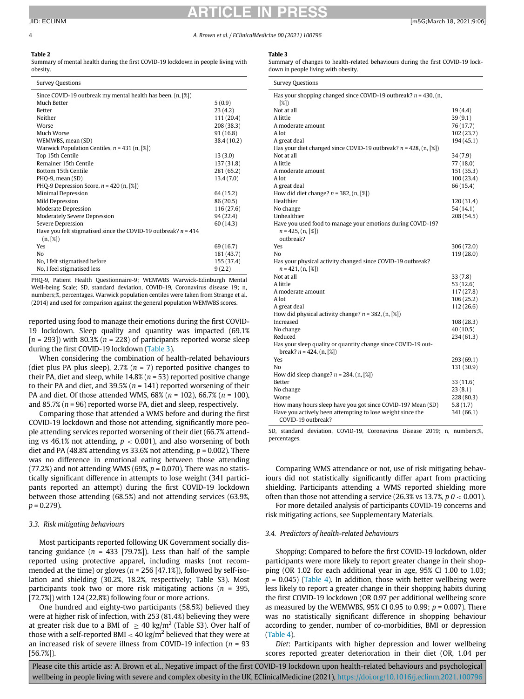#### 4 A. Brown et al. / EClinicalMedicine 00 (2021) 100796

### <span id="page-3-1"></span><span id="page-3-0"></span>Table 2

Summary of mental health during the first COVID-19 lockdown in people living with obesity.

| <b>Survey Questions</b>                                                      |             |
|------------------------------------------------------------------------------|-------------|
| Since COVID-19 outbreak my mental health has been, (n, [%])                  |             |
| Much Better                                                                  | 5(0.9)      |
| <b>Better</b>                                                                | 23(4.2)     |
| Neither                                                                      | 111 (20.4)  |
| Worse                                                                        | 208 (38.3)  |
| Much Worse                                                                   | 91(16.8)    |
| WEMWBS, mean (SD)                                                            | 38.4 (10.2) |
| Warwick Population Centiles, $n = 431$ (n, [%])                              |             |
| Top 15th Centile                                                             | 13(3.0)     |
| Remainer 15th Centile                                                        | 137 (31.8)  |
| <b>Bottom 15th Centile</b>                                                   | 281 (65.2)  |
| PHQ-9, mean (SD)                                                             | 13.4(7.0)   |
| PHQ-9 Depression Score, $n = 420$ (n, [%])                                   |             |
| Minimal Depression                                                           | 64 (15.2)   |
| Mild Depression                                                              | 86 (20.5)   |
| Moderate Depression                                                          | 116 (27.6)  |
| Moderately Severe Depression                                                 | 94 (22.4)   |
| Severe Depression                                                            | 60(14.3)    |
| Have you felt stigmatised since the COVID-19 outbreak? $n = 414$<br>(n, [%]) |             |
| Yes                                                                          | 69 (16.7)   |
| No                                                                           | 181 (43.7)  |
| No, I felt stigmatised before                                                | 155 (37.4)  |
| No, I feel stigmatised less                                                  | 9(2.2)      |

PHQ-9, Patient Health Questionnaire-9; WEMWBS Warwick-Edinburgh Mental Well-being Scale; SD, standard deviation, COVID-19, Coronavirus disease 19; n, numbers;%, percentages. Warwick population centiles were taken from Strange et al. (2014) and used for comparison against the general population WEMWBS scores.

reported using food to manage their emotions during the first COVID-19 lockdown. Sleep quality and quantity was impacted (69.1%  $[n = 293]$ ) with 80.3%  $(n = 228)$  of participants reported worse sleep during the first COVID-19 lockdown ([Table 3\)](#page-3-1).

When considering the combination of health-related behaviours (diet plus PA plus sleep), 2.7% ( $n = 7$ ) reported positive changes to their PA, diet and sleep, while  $14.8\%$  ( $n = 53$ ) reported positive change to their PA and diet, and 39.5% ( $n = 141$ ) reported worsening of their PA and diet. Of those attended WMS,  $68\%$  ( $n = 102$ ),  $66.7\%$  ( $n = 100$ ), and 85.7% ( $n = 96$ ) reported worse PA, diet and sleep, respectively.

Comparing those that attended a WMS before and during the first COVID-19 lockdown and those not attending, significantly more people attending services reported worsening of their diet (66.7% attending vs 46.1% not attending,  $p < 0.001$ ), and also worsening of both diet and PA (48.8% attending vs 33.6% not attending,  $p = 0.002$ ). There was no difference in emotional eating between those attending (77.2%) and not attending WMS (69%,  $p = 0.070$ ). There was no statistically significant difference in attempts to lose weight (341 participants reported an attempt) during the first COVID-19 lockdown between those attending (68.5%) and not attending services (63.9%,  $p = 0.279$ ).

### 3.3. Risk mitigating behaviours

Most participants reported following UK Government socially distancing guidance ( $n = 433$  [79.7%]). Less than half of the sample reported using protective apparel, including masks (not recommended at the time) or gloves ( $n = 256$  [47.1%]), followed by self-isolation and shielding (30.2%, 18.2%, respectively; Table S3). Most participants took two or more risk mitigating actions ( $n = 395$ , [72.7%]) with 124 (22.8%) following four or more actions.

One hundred and eighty-two participants (58.5%) believed they were at higher risk of infection, with 253 (81.4%) believing they were at greater risk due to a BMI of  $\geq$  40 kg/m<sup>2</sup> (Table S3). Over half of those with a self-reported BMI  $<$  40 kg/m<sup>2</sup> believed that they were at an increased risk of severe illness from COVID-19 infection ( $n = 93$ [56.7%]).

### Table 3

Summary of changes to health-related behaviours during the first COVID-19 lockdown in people living with obesity.

| <b>Survey Questions</b>                                                          |            |
|----------------------------------------------------------------------------------|------------|
| Has your shopping changed since COVID-19 outbreak? $n = 430$ , (n,<br>(8)        |            |
| Not at all                                                                       | 19(4.4)    |
| A little                                                                         | 39(9.1)    |
| A moderate amount                                                                | 76 (17.7)  |
| A lot                                                                            | 102(23.7)  |
| A great deal                                                                     | 194 (45.1) |
| Has your diet changed since COVID-19 outbreak? $n = 428$ , (n, [%])              |            |
| Not at all                                                                       | 34 (7.9)   |
| A little                                                                         | 77 (18.0)  |
| A moderate amount                                                                | 151 (35.3) |
| A lot                                                                            | 100(23.4)  |
| A great deal                                                                     | 66 (15.4)  |
| How did diet change? $n = 382$ , $(n, \lceil \mathcal{X} \rceil)$                |            |
| Healthier                                                                        | 120 (31.4) |
| No change                                                                        | 54(14.1)   |
| Unhealthier                                                                      | 208 (54.5) |
| Have you used food to manage your emotions during COVID-19?                      |            |
| $n = 425$ , $(n, \lceil \frac{8}{5} \rceil)$                                     |            |
| outbreak?                                                                        |            |
| Yes                                                                              | 306 (72.0) |
| N <sub>0</sub>                                                                   | 119(28.0)  |
| Has your physical activity changed since COVID-19 outbreak?                      |            |
| $n = 421$ , $(n, \lceil \mathcal{E} \rceil)$                                     |            |
| Not at all                                                                       | 33(7.8)    |
| A little                                                                         | 53 (12.6)  |
| A moderate amount                                                                | 117(27.8)  |
| A lot                                                                            | 106(25.2)  |
| A great deal                                                                     | 112 (26.6) |
| How did physical activity change? $n = 382$ , (n, [%])                           |            |
| Increased                                                                        | 108(28.3)  |
| No change                                                                        | 40 (10.5)  |
| Reduced                                                                          | 234 (61.3) |
| Has your sleep quality or quantity change since COVID-19 out-                    |            |
| break? $n = 424$ , $(n, \lceil \frac{8}{2} \rceil)$                              |            |
| Yes                                                                              | 293 (69.1) |
| No                                                                               | 131 (30.9) |
| How did sleep change? $n = 284$ , $(n, \lceil \mathcal{X} \rceil)$               |            |
| Better                                                                           | 33 (11.6)  |
| No change                                                                        | 23(8.1)    |
| Worse                                                                            | 228 (80.3) |
| How many hours sleep have you got since COVID-19? Mean (SD)                      | 5.8(1.7)   |
| Have you actively been attempting to lose weight since the<br>COVID-19 outbreak? | 341 (66.1) |

SD, standard deviation, COVID-19, Coronavirus Disease 2019; n, numbers;%, percentages.

Comparing WMS attendance or not, use of risk mitigating behaviours did not statistically significantly differ apart from practicing shielding. Participants attending a WMS reported shielding more often than those not attending a service (26.3% vs 13.7%,  $p\theta$  < 0.001).

For more detailed analysis of participants COVID-19 concerns and risk mitigating actions, see Supplementary Materials.

### 3.4. Predictors of health-related behaviours

Shopping: Compared to before the first COVID-19 lockdown, older participants were more likely to report greater change in their shopping (OR 1.02 for each additional year in age, 95% CI 1.00 to 1.03;  $p = 0.045$ ) [\(Table 4](#page-5-0)). In addition, those with better wellbeing were less likely to report a greater change in their shopping habits during the first COVID-19 lockdown (OR 0.97 per additional wellbeing score as measured by the WEMWBS, 95% CI 0.95 to 0.99;  $p = 0.007$ ). There was no statistically significant difference in shopping behaviour according to gender, number of co-morbidities, BMI or depression ([Table 4\)](#page-5-0).

Diet: Participants with higher depression and lower wellbeing scores reported greater deterioration in their diet (OR, 1.04 per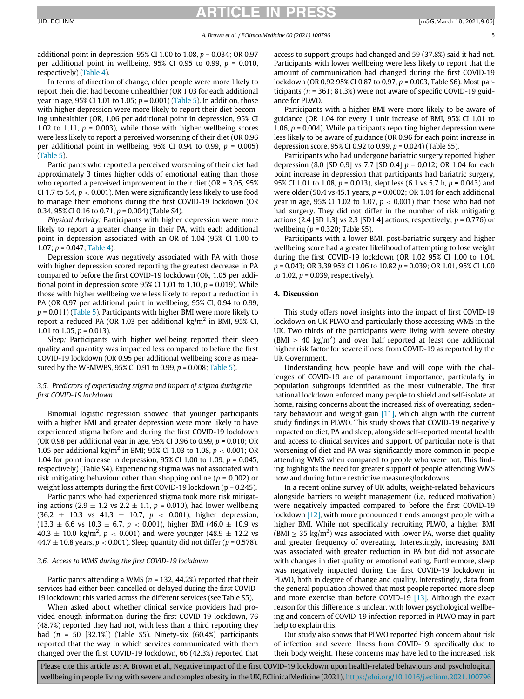### TICLE I

additional point in depression,  $95\%$  CI 1.00 to 1.08,  $p = 0.034$ ; OR 0.97 per additional point in wellbeing,  $95\%$  CI 0.95 to 0.99,  $p = 0.010$ , respectively) [\(Table 4](#page-5-0)).

In terms of direction of change, older people were more likely to report their diet had become unhealthier (OR 1.03 for each additional year in age, 95% CI 1.01 to 1.05;  $p = 0.001$ ) ([Table 5\)](#page-5-1). In addition, those with higher depression were more likely to report their diet becoming unhealthier (OR, 1.06 per additional point in depression, 95% CI 1.02 to 1.11,  $p = 0.003$ ), while those with higher wellbeing scores were less likely to report a perceived worsening of their diet (OR 0.96 per additional point in wellbeing,  $95\%$  CI 0.94 to 0.99,  $p = 0.005$ ) [\(Table 5](#page-5-1)).

Participants who reported a perceived worsening of their diet had approximately 3 times higher odds of emotional eating than those who reported a perceived improvement in their diet (OR = 3.05, 95% CI 1.7 to 5.4,  $p < 0.001$ ). Men were significantly less likely to use food to manage their emotions during the first COVID-19 lockdown (OR 0.34, 95% CI 0.16 to 0.71,  $p = 0.004$ ) (Table S4).

Physical Activity: Participants with higher depression were more likely to report a greater change in their PA, with each additional point in depression associated with an OR of 1.04 (95% CI 1.00 to 1.07;  $p = 0.047$ ; [Table 4\)](#page-5-0).

Depression score was negatively associated with PA with those with higher depression scored reporting the greatest decrease in PA compared to before the first COVID-19 lockdown (OR, 1.05 per additional point in depression score  $95\%$  CI 1.01 to 1.10,  $p = 0.019$ ). While those with higher wellbeing were less likely to report a reduction in PA (OR 0.97 per additional point in wellbeing, 95% CI, 0.94 to 0.99,  $p = 0.011$ ) [\(Table 5](#page-5-1)). Participants with higher BMI were more likely to report a reduced PA (OR 1.03 per additional  $\text{kg/m}^2$  in BMI, 95% CI, 1.01 to 1.05,  $p = 0.013$ ).

Sleep: Participants with higher wellbeing reported their sleep quality and quantity was impacted less compared to before the first COVID-19 lockdown (OR 0.95 per additional wellbeing score as measured by the WEMWBS, 95% CI 0.91 to 0.99,  $p = 0.008$ ; [Table 5\)](#page-5-1).

### 3.5. Predictors of experiencing stigma and impact of stigma during the first COVID-19 lockdown

Binomial logistic regression showed that younger participants with a higher BMI and greater depression were more likely to have experienced stigma before and during the first COVID-19 lockdown (OR 0.98 per additional year in age, 95% CI 0.96 to 0.99, p = 0.010; OR 1.05 per additional kg/m<sup>2</sup> in BMI; 95% CI 1.03 to 1.08,  $p < 0.001$ ; OR 1.04 for point increase in depression, 95% CI 1.00 to 1.09,  $p = 0.045$ , respectively) (Table S4). Experiencing stigma was not associated with risk mitigating behaviour other than shopping online ( $p = 0.002$ ) or weight loss attempts during the first COVID-19 lockdown ( $p = 0.245$ ).

Participants who had experienced stigma took more risk mitigating actions (2.9  $\pm$  1.2 vs 2.2  $\pm$  1.1, p = 0.010), had lower wellbeing  $(36.2 \pm 10.3 \text{ vs } 41.3 \pm 10.7, p < 0.001)$ , higher depression,  $(13.3 \pm 6.6 \text{ vs } 10.3 \pm 6.7, p < 0.001)$ , higher BMI (46.0  $\pm$  10.9 vs  $40.3 \pm 10.0 \text{ kg/m}^2$ ,  $p < 0.001$ ) and were younger (48.9  $\pm$  12.2 vs  $44.7 \pm 10.8$  years,  $p < 0.001$ ). Sleep quantity did not differ ( $p = 0.578$ ).

### 3.6. Access to WMS during the first COVID-19 lockdown

Participants attending a WMS ( $n = 132, 44.2%$ ) reported that their services had either been cancelled or delayed during the first COVID-19 lockdown; this varied across the different services (see Table S5).

When asked about whether clinical service providers had provided enough information during the first COVID-19 lockdown, 76 (48.7%) reported they had not, with less than a third reporting they had  $(n = 50 [32.1\%])$  (Table S5). Ninety-six (60.4%) participants reported that the way in which services communicated with them changed over the first COVID-19 lockdown, 66 (42.3%) reported that access to support groups had changed and 59 (37.8%) said it had not. Participants with lower wellbeing were less likely to report that the amount of communication had changed during the first COVID-19 lockdown (OR 0.92 95% CI 0.87 to 0.97, p = 0.003, Table S6). Most participants ( $n = 361$ ; 81.3%) were not aware of specific COVID-19 guidance for PLWO.

Participants with a higher BMI were more likely to be aware of guidance (OR 1.04 for every 1 unit increase of BMI, 95% CI 1.01 to 1.06,  $p = 0.004$ ). While participants reporting higher depression were less likely to be aware of guidance (OR 0.96 for each point increase in depression score,  $95\%$  CI 0.92 to 0.99,  $p = 0.024$ ) (Table S5).

Participants who had undergone bariatric surgery reported higher depression (8.0 [SD 0.9] vs 7.7 [SD 0.4]  $p = 0.012$ ; OR 1.04 for each point increase in depression that participants had bariatric surgery, 95% CI 1.01 to 1.08,  $p = 0.013$ ), slept less (6.1 vs 5.7 h,  $p = 0.043$ ) and were older (50.4 vs 45.1 years,  $p = 0.0002$ ; OR 1.04 for each additional year in age, 95% CI 1.02 to 1.07,  $p < 0.001$ ) than those who had not had surgery. They did not differ in the number of risk mitigating actions (2.4 [SD 1.3] vs 2.3 [SD1.4] actions, respectively;  $p = 0.776$ ) or wellbeing ( $p = 0.320$ ; Table S5).

Participants with a lower BMI, post-bariatric surgery and higher wellbeing score had a greater likelihood of attempting to lose weight during the first COVID-19 lockdown (OR 1.02 95% CI 1.00 to 1.04, p = 0.043; OR 3.39 95% CI 1.06 to 10.82 p = 0.039; OR 1.01, 95% CI 1.00 to 1.02,  $p = 0.039$ , respectively).

### 4. Discussion

This study offers novel insights into the impact of first COVID-19 lockdown on UK PLWO and particularly those accessing WMS in the UK. Two thirds of the participants were living with severe obesity (BMI  $\geq$  40 kg/m<sup>2</sup>) and over half reported at least one additional higher risk factor for severe illness from COVID-19 as reported by the UK Government.

Understanding how people have and will cope with the challenges of COVID-19 are of paramount importance, particularly in population subgroups identified as the most vulnerable. The first national lockdown enforced many people to shield and self-isolate at home, raising concerns about the increased risk of overeating, sedentary behaviour and weight gain [\[11\]](#page-6-8), which align with the current study findings in PLWO. This study shows that COVID-19 negatively impacted on diet, PA and sleep, alongside self-reported mental health and access to clinical services and support. Of particular note is that worsening of diet and PA was significantly more common in people attending WMS when compared to people who were not. This finding highlights the need for greater support of people attending WMS now and during future restrictive measures/lockdowns.

In a recent online survey of UK adults, weight-related behaviours alongside barriers to weight management (i.e. reduced motivation) were negatively impacted compared to before the first COVID-19 lockdown [\[12\]](#page-6-9), with more pronounced trends amongst people with a higher BMI. While not specifically recruiting PLWO, a higher BMI (BMI  $\geq$  35 kg/m<sup>2</sup>) was associated with lower PA, worse diet quality and greater frequency of overeating. Interestingly, increasing BMI was associated with greater reduction in PA but did not associate with changes in diet quality or emotional eating. Furthermore, sleep was negatively impacted during the first COVID-19 lockdown in PLWO, both in degree of change and quality. Interestingly, data from the general population showed that most people reported more sleep and more exercise than before COVID-19 [\[13\]](#page-6-10). Although the exact reason for this difference is unclear, with lower psychological wellbeing and concern of COVID-19 infection reported in PLWO may in part help to explain this.

Our study also shows that PLWO reported high concern about risk of infection and severe illness from COVID-19, specifically due to their body weight. These concerns may have led to the increased risk

Please cite this article as: A. Brown et al., Negative impact of the first COVID-19 lockdown upon health-related behaviours and psychological wellbeing in people living with severe and complex obesity in the UK, EClinicalMedicine (2021), <https://doi.org/10.1016/j.eclinm.2021.100796>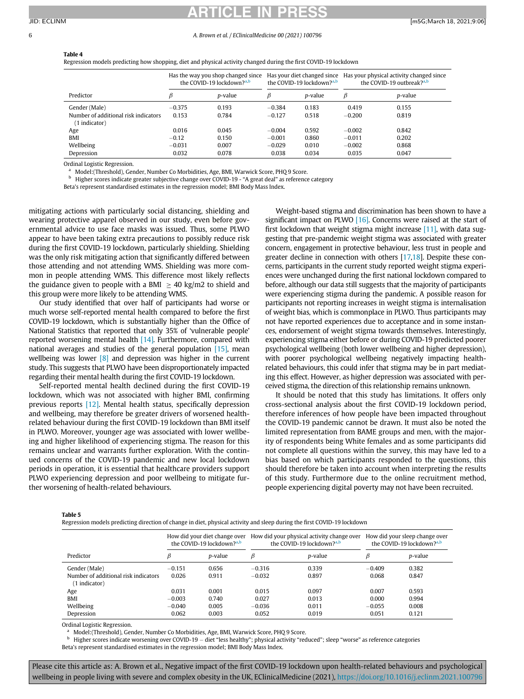#### <span id="page-5-0"></span>6 A. Brown et al. / EClinicalMedicine 00 (2021) 100796

### Table 4

Regression models predicting how shopping, diet and physical activity changed during the first COVID-19 lockdown

|                                      | Has the way you shop changed since<br>the COVID-19 lockdown? <sup>a,b</sup> |                 | the COVID-19 lockdown? <sup>a,b</sup> |                 | Has your diet changed since Has your physical activity changed since<br>the COVID-19 outbreak? <sup>a,b</sup> |                 |
|--------------------------------------|-----------------------------------------------------------------------------|-----------------|---------------------------------------|-----------------|---------------------------------------------------------------------------------------------------------------|-----------------|
| Predictor                            |                                                                             | <i>p</i> -value |                                       | <i>p</i> -value | В                                                                                                             | <i>p</i> -value |
| Gender (Male)                        | $-0.375$                                                                    | 0.193           | $-0.384$                              | 0.183           | 0.419                                                                                                         | 0.155           |
| Number of additional risk indicators | 0.153                                                                       | 0.784           | $-0.127$                              | 0.518           | $-0.200$                                                                                                      | 0.819           |
| (1 indicator)                        |                                                                             |                 |                                       |                 |                                                                                                               |                 |
| Age                                  | 0.016                                                                       | 0.045           | $-0.004$                              | 0.592           | $-0.002$                                                                                                      | 0.842           |
| BMI                                  | $-0.12$                                                                     | 0.150           | $-0.001$                              | 0.860           | $-0.011$                                                                                                      | 0.202           |
| Wellbeing                            | $-0.031$                                                                    | 0.007           | $-0.029$                              | 0.010           | $-0.002$                                                                                                      | 0.868           |
| Depression                           | 0.032                                                                       | 0.078           | 0.038                                 | 0.034           | 0.035                                                                                                         | 0.047           |

Ordinal Logistic Regression.

Model:(Threshold), Gender, Number Co Morbidities, Age, BMI, Warwick Score, PHQ 9 Score.

<sup>b</sup> Higher scores indicate greater subjective change over COVID-19 - "A great deal" as reference category

Beta's represent standardised estimates in the regression model; BMI Body Mass Index.

<span id="page-5-2"></span>mitigating actions with particularly social distancing, shielding and wearing protective apparel observed in our study, even before governmental advice to use face masks was issued. Thus, some PLWO appear to have been taking extra precautions to possibly reduce risk during the first COVID-19 lockdown, particularly shielding. Shielding was the only risk mitigating action that significantly differed between those attending and not attending WMS. Shielding was more common in people attending WMS. This difference most likely reflects the guidance given to people with a BMI  $>$  40 kg/m2 to shield and this group were more likely to be attending WMS.

Our study identified that over half of participants had worse or much worse self-reported mental health compared to before the first COVID-19 lockdown, which is substantially higher than the Office of National Statistics that reported that only 35% of 'vulnerable people' reported worsening mental health [\[14\]](#page-6-11). Furthermore, compared with national averages and studies of the general population [\[15\]](#page-6-12), mean wellbeing was lower [\[8\]](#page-6-5) and depression was higher in the current study. This suggests that PLWO have been disproportionately impacted regarding their mental health during the first COVID-19 lockdown.

Self-reported mental health declined during the first COVID-19 lockdown, which was not associated with higher BMI, confirming previous reports [\[12\]](#page-6-9). Mental health status, specifically depression and wellbeing, may therefore be greater drivers of worsened healthrelated behaviour during the first COVID-19 lockdown than BMI itself in PLWO. Moreover, younger age was associated with lower wellbeing and higher likelihood of experiencing stigma. The reason for this remains unclear and warrants further exploration. With the continued concerns of the COVID-19 pandemic and new local lockdown periods in operation, it is essential that healthcare providers support PLWO experiencing depression and poor wellbeing to mitigate further worsening of health-related behaviours.

Weight-based stigma and discrimination has been shown to have a significant impact on PLWO  $[16]$ . Concerns were raised at the start of first lockdown that weight stigma might increase [\[11\]](#page-6-8), with data suggesting that pre-pandemic weight stigma was associated with greater concern, engagement in protective behaviour, less trust in people and greater decline in connection with others [\[17](#page-6-14),[18\]](#page-6-15). Despite these concerns, participants in the current study reported weight stigma experiences were unchanged during the first national lockdown compared to before, although our data still suggests that the majority of participants were experiencing stigma during the pandemic. A possible reason for participants not reporting increases in weight stigma is internalisation of weight bias, which is commonplace in PLWO. Thus participants may not have reported experiences due to acceptance and in some instances, endorsement of weight stigma towards themselves. Interestingly, experiencing stigma either before or during COVID-19 predicted poorer psychological wellbeing (both lower wellbeing and higher depression), with poorer psychological wellbeing negatively impacting healthrelated behaviours, this could infer that stigma may be in part mediating this effect. However, as higher depression was associated with perceived stigma, the direction of this relationship remains unknown.

It should be noted that this study has limitations. It offers only cross-sectional analysis about the first COVID-19 lockdown period, therefore inferences of how people have been impacted throughout the COVID-19 pandemic cannot be drawn. It must also be noted the limited representation from BAME groups and men, with the majority of respondents being White females and as some participants did not complete all questions within the survey, this may have led to a bias based on which participants responded to the questions, this should therefore be taken into account when interpreting the results of this study. Furthermore due to the online recruitment method, people experiencing digital poverty may not have been recruited.

<span id="page-5-1"></span>Table 5

Regression models predicting direction of change in diet, physical activity and sleep during the first COVID-19 lockdown

|                                                       | How did your diet change over<br>the COVID-19 lockdown? <sup>a,b</sup> |                 | How did your physical activity change over<br>the COVID-19 lockdown? <sup>a,b</sup> |                 |          | How did your sleep change over<br>the COVID-19 lockdown? <sup>a,b</sup> |
|-------------------------------------------------------|------------------------------------------------------------------------|-----------------|-------------------------------------------------------------------------------------|-----------------|----------|-------------------------------------------------------------------------|
| Predictor                                             | β                                                                      | <i>p</i> -value | β                                                                                   | <i>p</i> -value | β        | <i>p</i> -value                                                         |
| Gender (Male)                                         | $-0.151$                                                               | 0.656           | $-0.316$                                                                            | 0.339           | $-0.409$ | 0.382                                                                   |
| Number of additional risk indicators<br>(1 indicator) | 0.026                                                                  | 0.911           | $-0.032$                                                                            | 0.897           | 0.068    | 0.847                                                                   |
| Age                                                   | 0.031                                                                  | 0.001           | 0.015                                                                               | 0.097           | 0.007    | 0.593                                                                   |
| BMI                                                   | $-0.003$                                                               | 0.740           | 0.027                                                                               | 0.013           | 0.000    | 0.994                                                                   |
| Wellbeing                                             | $-0.040$                                                               | 0.005           | $-0.036$                                                                            | 0.011           | $-0.055$ | 0.008                                                                   |
| Depression                                            | 0.062                                                                  | 0.003           | 0.052                                                                               | 0.019           | 0.051    | 0.121                                                                   |

Ordinal Logistic Regression.

Model:(Threshold), Gender, Number Co Morbidities, Age, BMI, Warwick Score, PHQ 9 Score.

<span id="page-5-3"></span> $<sup>b</sup>$  Higher scores indicate worsening over COVID-19 – diet "less healthy"; physical activity "reduced"; sleep "worse" as reference categories</sup>

Beta's represent standardised estimates in the regression model; BMI Body Mass Index.